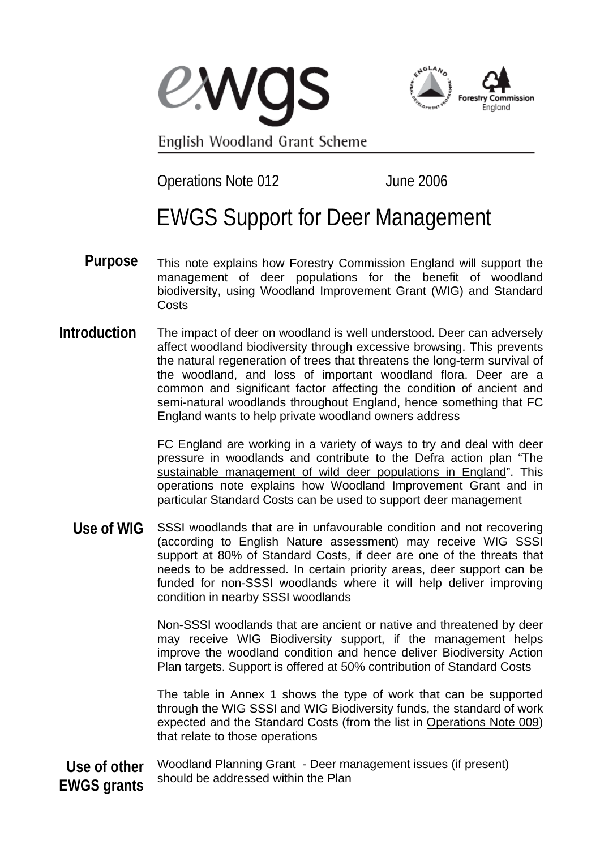**EXVOS** 



English Woodland Grant Scheme

Operations Note 012 June 2006

## EWGS Support for Deer Management

- This note explains how Forestry Commission England will support the management of deer populations for the benefit of woodland biodiversity, using Woodland Improvement Grant (WIG) and Standard **Costs Purpose**
- The impact of deer on woodland is well understood. Deer can adversely affect woodland biodiversity through excessive browsing. This prevents the natural regeneration of trees that threatens the long-term survival of the woodland, and loss of important woodland flora. Deer are a common and significant factor affecting the condition of ancient and semi-natural woodlands throughout England, hence something that FC England wants to help private woodland owners address **Introduction**

FC England are working in a variety of ways to try and deal with deer pressure in woodlands and contribute to the Defra action plan "[The](http://www.defra.gov.uk/wildlife-countryside/vertebrates/pdf/deeractionplan.pdf) [sustainable management of wild deer populations in England"](http://www.defra.gov.uk/wildlife-countryside/vertebrates/pdf/deeractionplan.pdf). This operations note explains how Woodland Improvement Grant and in particular Standard Costs can be used to support deer management

SSSI woodlands that are in unfavourable condition and not recovering (according to English Nature assessment) may receive WIG SSSI support at 80% of Standard Costs, if deer are one of the threats that needs to be addressed. In certain priority areas, deer support can be funded for non-SSSI woodlands where it will help deliver improving condition in nearby SSSI woodlands **Use of WIG**

> Non-SSSI woodlands that are ancient or native and threatened by deer may receive WIG Biodiversity support, if the management helps improve the woodland condition and hence deliver Biodiversity Action Plan targets. Support is offered at 50% contribution of Standard Costs

> The table in Annex 1 shows the type of work that can be supported through the WIG SSSI and WIG Biodiversity funds, the standard of work expected and the Standard Costs (from the list in [Operations Note 009\)](http://www.forestry.gov.uk/pdf/ewgs-on009-standard-costs.pdf/$FILE/ewgs-on009-standard-costs.pdf) that relate to those operations

Woodland Planning Grant - Deer management issues (if present) should be addressed within the Plan **Use of other EWGS grants**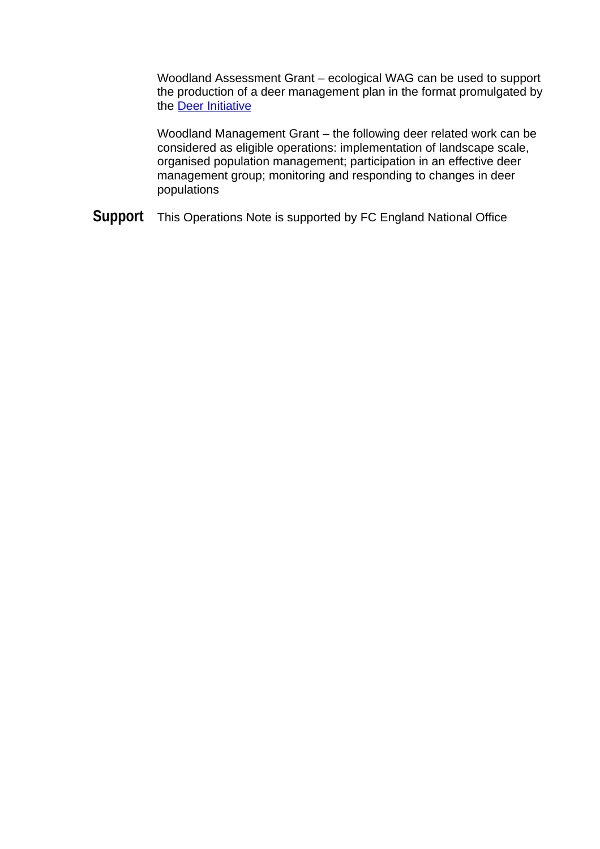Woodland Assessment Grant – ecological WAG can be used to support the production of a deer management plan in the format promulgated by the [Deer Initiative](http://www.thedeerinitiative.co.uk/html/downloads.htm)

Woodland Management Grant – the following deer related work can be considered as eligible operations: implementation of landscape scale, organised population management; participation in an effective deer management group; monitoring and responding to changes in deer populations

**Support** This Operations Note is supported by FC England National Office